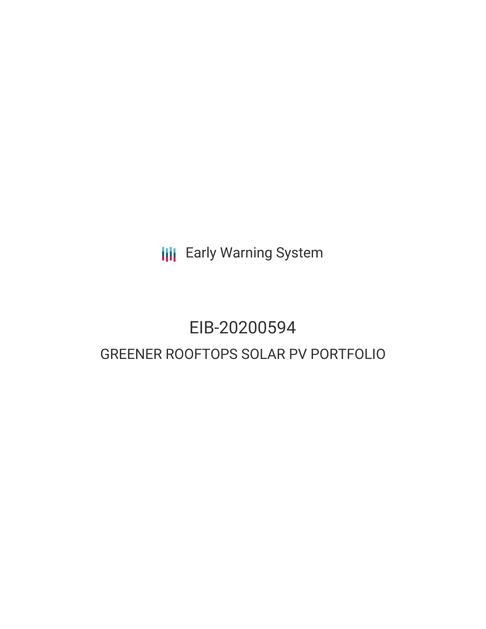**III** Early Warning System

# EIB-20200594 GREENER ROOFTOPS SOLAR PV PORTFOLIO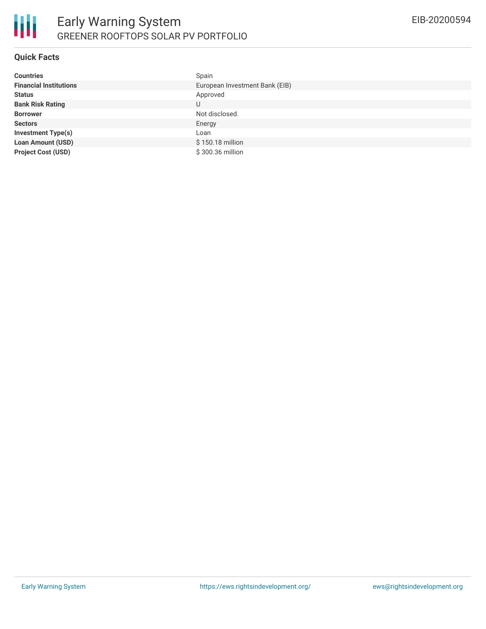

#### **Quick Facts**

| <b>Countries</b>              | Spain                          |
|-------------------------------|--------------------------------|
| <b>Financial Institutions</b> | European Investment Bank (EIB) |
| <b>Status</b>                 | Approved                       |
| <b>Bank Risk Rating</b>       | U                              |
| <b>Borrower</b>               | Not disclosed.                 |
| <b>Sectors</b>                | Energy                         |
| <b>Investment Type(s)</b>     | Loan                           |
| <b>Loan Amount (USD)</b>      | \$150.18 million               |
| <b>Project Cost (USD)</b>     | \$300.36 million               |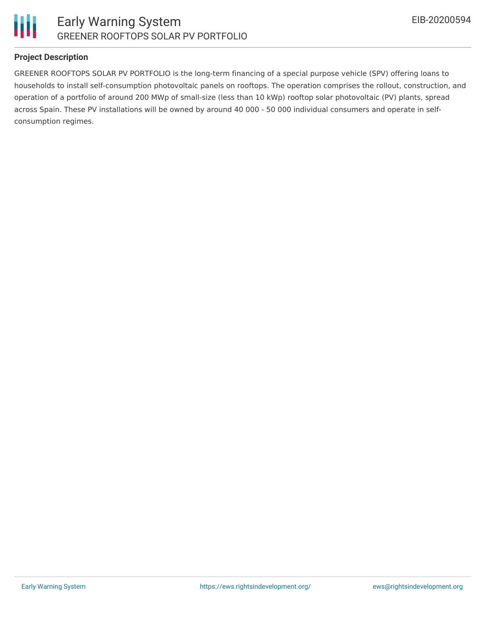

# **Project Description**

GREENER ROOFTOPS SOLAR PV PORTFOLIO is the long-term financing of a special purpose vehicle (SPV) offering loans to households to install self-consumption photovoltaic panels on rooftops. The operation comprises the rollout, construction, and operation of a portfolio of around 200 MWp of small-size (less than 10 kWp) rooftop solar photovoltaic (PV) plants, spread across Spain. These PV installations will be owned by around 40 000 - 50 000 individual consumers and operate in selfconsumption regimes.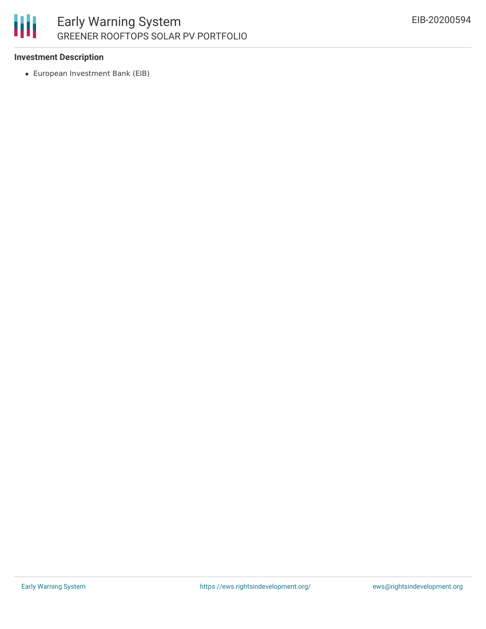

### **Investment Description**

European Investment Bank (EIB)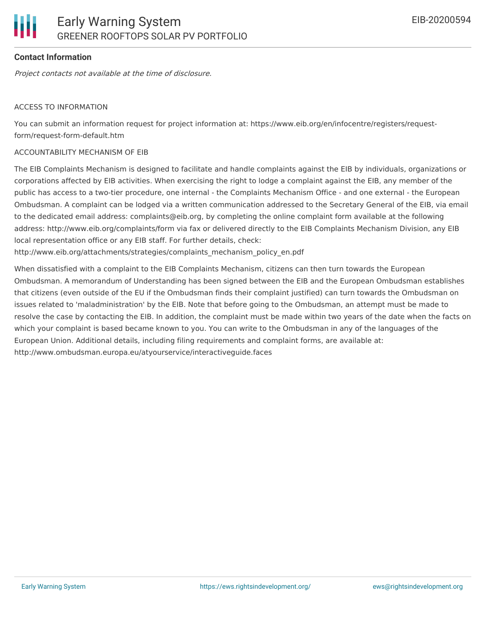# **Contact Information**

Project contacts not available at the time of disclosure.

#### ACCESS TO INFORMATION

You can submit an information request for project information at: https://www.eib.org/en/infocentre/registers/requestform/request-form-default.htm

#### ACCOUNTABILITY MECHANISM OF EIB

The EIB Complaints Mechanism is designed to facilitate and handle complaints against the EIB by individuals, organizations or corporations affected by EIB activities. When exercising the right to lodge a complaint against the EIB, any member of the public has access to a two-tier procedure, one internal - the Complaints Mechanism Office - and one external - the European Ombudsman. A complaint can be lodged via a written communication addressed to the Secretary General of the EIB, via email to the dedicated email address: complaints@eib.org, by completing the online complaint form available at the following address: http://www.eib.org/complaints/form via fax or delivered directly to the EIB Complaints Mechanism Division, any EIB local representation office or any EIB staff. For further details, check:

http://www.eib.org/attachments/strategies/complaints\_mechanism\_policy\_en.pdf

When dissatisfied with a complaint to the EIB Complaints Mechanism, citizens can then turn towards the European Ombudsman. A memorandum of Understanding has been signed between the EIB and the European Ombudsman establishes that citizens (even outside of the EU if the Ombudsman finds their complaint justified) can turn towards the Ombudsman on issues related to 'maladministration' by the EIB. Note that before going to the Ombudsman, an attempt must be made to resolve the case by contacting the EIB. In addition, the complaint must be made within two years of the date when the facts on which your complaint is based became known to you. You can write to the Ombudsman in any of the languages of the European Union. Additional details, including filing requirements and complaint forms, are available at: http://www.ombudsman.europa.eu/atyourservice/interactiveguide.faces